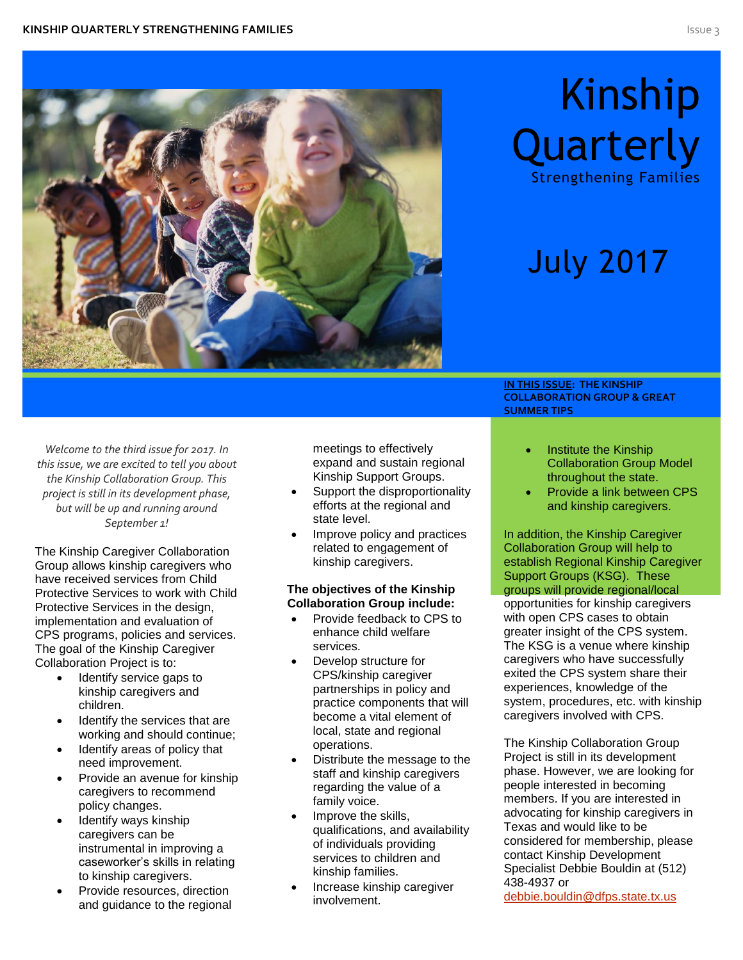

# Kinship **Quarterly**

Strengthening Families

# July 2017

*Welcome to the third issue for 2017. In this issue, we are excited to tell you about the Kinship Collaboration Group. This project is still in its development phase, but will be up and running around September 1!*

The Kinship Caregiver Collaboration Group allows kinship caregivers who have received services from Child Protective Services to work with Child Protective Services in the design, implementation and evaluation of CPS programs, policies and services. The goal of the Kinship Caregiver Collaboration Project is to:

- Identify service gaps to kinship caregivers and children.
- Identify the services that are working and should continue;
- Identify areas of policy that need improvement.
- Provide an avenue for kinship caregivers to recommend policy changes.
- Identify ways kinship caregivers can be instrumental in improving a caseworker's skills in relating to kinship caregivers.
- Provide resources, direction and guidance to the regional

meetings to effectively expand and sustain regional Kinship Support Groups.

- Support the disproportionality efforts at the regional and state level.
- Improve policy and practices related to engagement of kinship caregivers.

#### **The objectives of the Kinship Collaboration Group include:**

- Provide feedback to CPS to enhance child welfare services.
- Develop structure for CPS/kinship caregiver partnerships in policy and practice components that will become a vital element of local, state and regional operations.
- Distribute the message to the staff and kinship caregivers regarding the value of a family voice.
- Improve the skills, qualifications, and availability of individuals providing services to children and kinship families.
- Increase kinship caregiver involvement.

**IN THIS ISSUE: THE KINSHIP COLLABORATION GROUP & GREAT SUMMER TIPS**

- Institute the Kinship Collaboration Group Model throughout the state.
- Provide a link between CPS and kinship caregivers.

In addition, the Kinship Caregiver Collaboration Group will help to establish Regional Kinship Caregiver Support Groups (KSG). These groups will provide regional/local

opportunities for kinship caregivers with open CPS cases to obtain greater insight of the CPS system. The KSG is a venue where kinship caregivers who have successfully exited the CPS system share their experiences, knowledge of the system, procedures, etc. with kinship caregivers involved with CPS.

The Kinship Collaboration Group Project is still in its development phase. However, we are looking for people interested in becoming members. If you are interested in advocating for kinship caregivers in Texas and would like to be considered for membership, please contact Kinship Development Specialist Debbie Bouldin at (512) 438-4937 or

[debbie.bouldin@dfps.state.tx.us](mailto:debbie.bouldin@dfps.state.tx.us)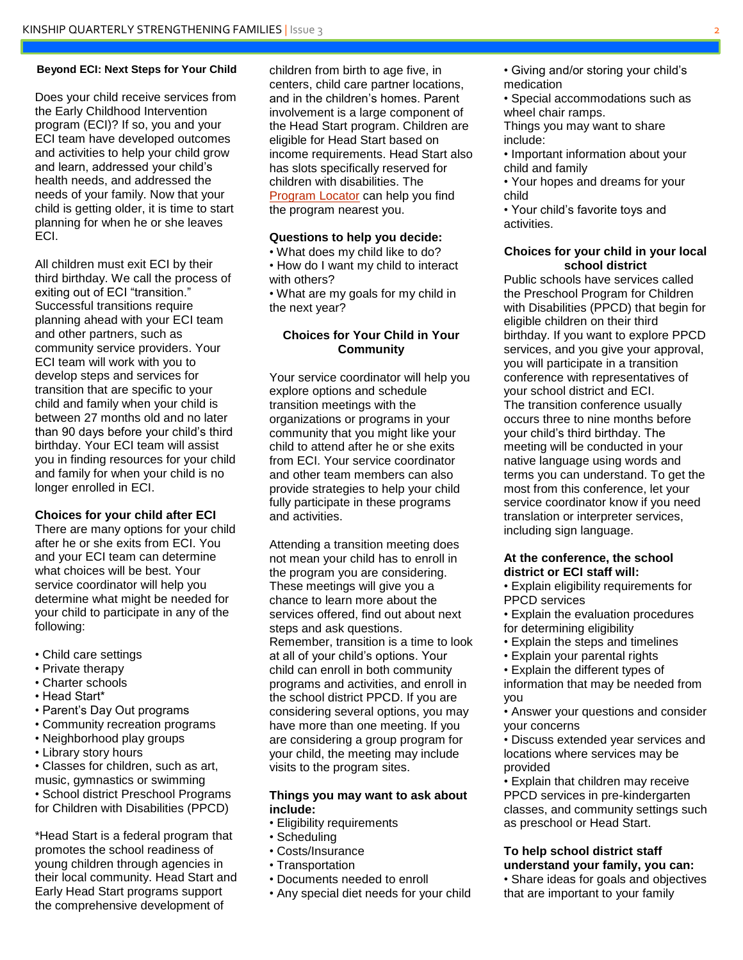#### **Beyond ECI: Next Steps for Your Child**

Does your child receive services from the Early Childhood Intervention program (ECI)? If so, you and your ECI team have developed outcomes and activities to help your child grow and learn, addressed your child's health needs, and addressed the needs of your family. Now that your child is getting older, it is time to start planning for when he or she leaves ECI.

All children must exit ECI by their third birthday. We call the process of exiting out of ECI "transition." Successful transitions require planning ahead with your ECI team and other partners, such as community service providers. Your ECI team will work with you to develop steps and services for transition that are specific to your child and family when your child is between 27 months old and no later than 90 days before your child's third birthday. Your ECI team will assist you in finding resources for your child and family for when your child is no longer enrolled in ECI.

#### **Choices for your child after ECI**

There are many options for your child after he or she exits from ECI. You and your ECI team can determine what choices will be best. Your service coordinator will help you determine what might be needed for your child to participate in any of the following:

- Child care settings
- Private therapy
- Charter schools
- Head Start\*
- Parent's Day Out programs
- Community recreation programs
- Neighborhood play groups
- Library story hours
- Classes for children, such as art, music, gymnastics or swimming • School district Preschool Programs

for Children with Disabilities (PPCD)

\*Head Start is a federal program that promotes the school readiness of young children through agencies in their local community. Head Start and Early Head Start programs support the comprehensive development of

children from birth to age five, in centers, child care partner locations, and in the children's homes. Parent involvement is a large component of the Head Start program. Children are eligible for Head Start based on income requirements. Head Start also has slots specifically reserved for children with disabilities. The [Program Locator](https://eclkc.ohs.acf.hhs.gov/hslc/HeadStartOffices) can help you find the program nearest you.

#### **Questions to help you decide:**

• What does my child like to do? • How do I want my child to interact with others?

• What are my goals for my child in the next year?

#### **Choices for Your Child in Your Community**

Your service coordinator will help you explore options and schedule transition meetings with the organizations or programs in your community that you might like your child to attend after he or she exits from ECI. Your service coordinator and other team members can also provide strategies to help your child fully participate in these programs and activities.

Attending a transition meeting does not mean your child has to enroll in the program you are considering. These meetings will give you a chance to learn more about the services offered, find out about next steps and ask questions. Remember, transition is a time to look at all of your child's options. Your child can enroll in both community programs and activities, and enroll in the school district PPCD. If you are considering several options, you may have more than one meeting. If you are considering a group program for your child, the meeting may include visits to the program sites.

#### **Things you may want to ask about include:**

- Eligibility requirements
- Scheduling
- Costs/Insurance
- Transportation
- Documents needed to enroll
- Any special diet needs for your child
- Giving and/or storing your child's medication
- Special accommodations such as wheel chair ramps.

Things you may want to share include:

- Important information about your child and family
- Your hopes and dreams for your child

• Your child's favorite toys and activities.

#### **Choices for your child in your local school district**

Public schools have services called the Preschool Program for Children with Disabilities (PPCD) that begin for eligible children on their third birthday. If you want to explore PPCD services, and you give your approval, you will participate in a transition conference with representatives of your school district and ECI. The transition conference usually occurs three to nine months before your child's third birthday. The meeting will be conducted in your native language using words and terms you can understand. To get the most from this conference, let your service coordinator know if you need translation or interpreter services, including sign language.

#### **At the conference, the school district or ECI staff will:**

• Explain eligibility requirements for PPCD services

• Explain the evaluation procedures for determining eligibility

- Explain the steps and timelines
- Explain your parental rights

• Explain the different types of information that may be needed from you

• Answer your questions and consider your concerns

• Discuss extended year services and locations where services may be provided

• Explain that children may receive PPCD services in pre-kindergarten classes, and community settings such as preschool or Head Start.

#### **To help school district staff understand your family, you can:**

• Share ideas for goals and objectives that are important to your family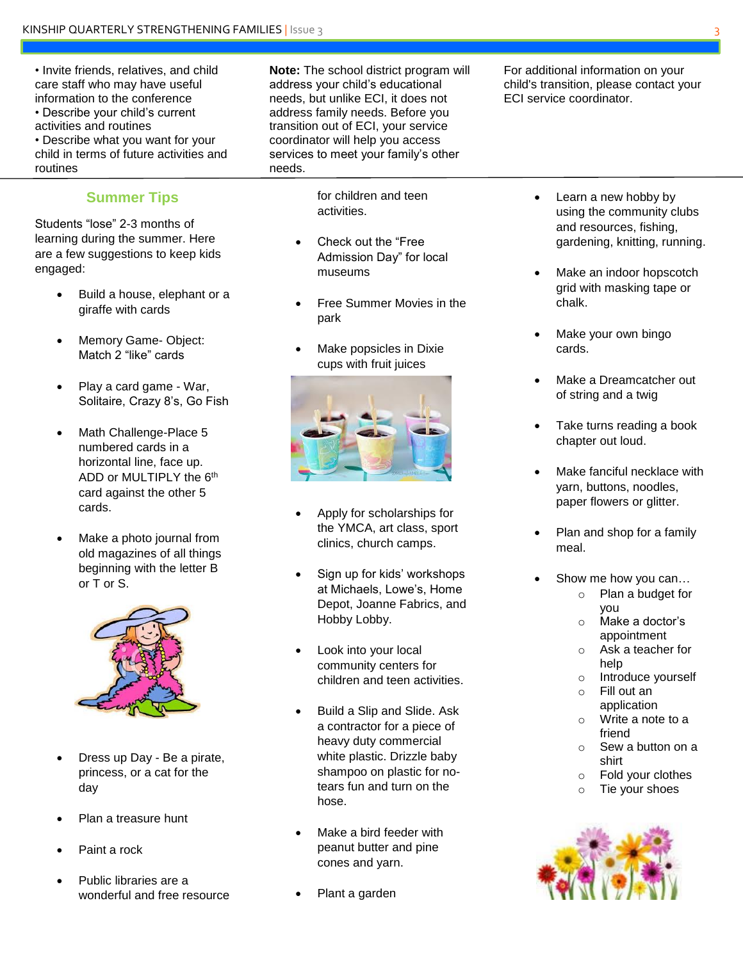• Invite friends, relatives, and child care staff who may have useful information to the conference • Describe your child's current activities and routines • Describe what you want for your child in terms of future activities and routines

### **Summer Tips**

Students "lose" 2-3 months of learning during the summer. Here are a few suggestions to keep kids engaged:

- Build a house, elephant or a giraffe with cards
- Memory Game- Object: Match 2 "like" cards
- Play a card game War, Solitaire, Crazy 8's, Go Fish
- Math Challenge-Place 5 numbered cards in a horizontal line, face up. ADD or MULTIPLY the 6<sup>th</sup> card against the other 5 cards.
- Make a photo journal from old magazines of all things beginning with the letter B or T or S.



- Dress up Day Be a pirate, princess, or a cat for the day
- Plan a treasure hunt
- Paint a rock
- Public libraries are a wonderful and free resource

**Note:** The school district program will address your child's educational needs, but unlike ECI, it does not address family needs. Before you transition out of ECI, your service coordinator will help you access services to meet your family's other needs.

> for children and teen activities.

- Check out the "Free Admission Day" for local museums
- Free Summer Movies in the park
- Make popsicles in Dixie cups with fruit juices



- Apply for scholarships for the YMCA, art class, sport clinics, church camps.
- Sign up for kids' workshops at Michaels, Lowe's, Home Depot, Joanne Fabrics, and Hobby Lobby.
- Look into your local community centers for children and teen activities.
- Build a Slip and Slide. Ask a contractor for a piece of heavy duty commercial white plastic. Drizzle baby shampoo on plastic for notears fun and turn on the hose.
- Make a bird feeder with peanut butter and pine cones and yarn.
- Plant a garden

For additional information on your child's transition, please contact your ECI service coordinator.

- Learn a new hobby by using the community clubs and resources, fishing, gardening, knitting, running.
- Make an indoor hopscotch grid with masking tape or chalk.
- Make your own bingo cards.
- Make a Dreamcatcher out of string and a twig
- Take turns reading a book chapter out loud.
- Make fanciful necklace with yarn, buttons, noodles, paper flowers or glitter.
- Plan and shop for a family meal.
- Show me how you can…
	- o Plan a budget for you
	- o Make a doctor's appointment
	- o Ask a teacher for help
	- o Introduce yourself
	- o Fill out an application
	- o Write a note to a friend
	- o Sew a button on a shirt
	- o Fold your clothes
	- o Tie your shoes